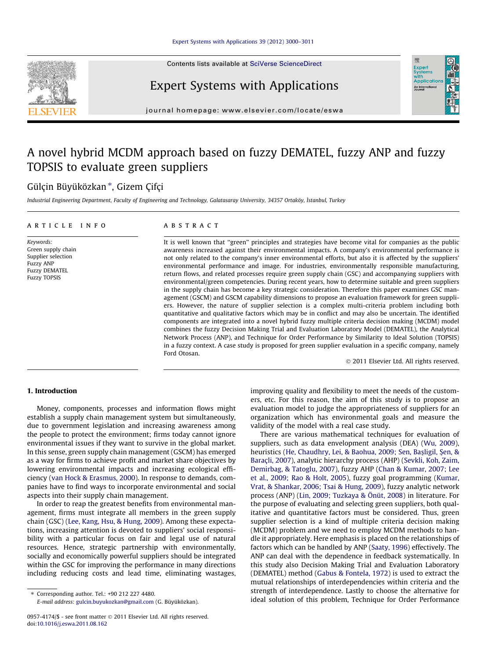Contents lists available at [SciVerse ScienceDirect](http://www.sciencedirect.com/science/journal/09574174)



## Expert Systems with Applications



journal homepage: [www.elsevier.com/locate/eswa](http://www.elsevier.com/locate/eswa)

## A novel hybrid MCDM approach based on fuzzy DEMATEL, fuzzy ANP and fuzzy TOPSIS to evaluate green suppliers

### Gülçin Büyüközkan \*, Gizem Çifçi

Industrial Engineering Department, Faculty of Engineering and Technology, Galatasaray University, 34357 Ortaköy, İstanbul, Turkey

#### article info

Keywords: Green supply chain Supplier selection Fuzzy ANP Fuzzy DEMATEL Fuzzy TOPSIS

#### **ABSTRACT**

It is well known that ''green'' principles and strategies have become vital for companies as the public awareness increased against their environmental impacts. A company's environmental performance is not only related to the company's inner environmental efforts, but also it is affected by the suppliers' environmental performance and image. For industries, environmentally responsible manufacturing, return flows, and related processes require green supply chain (GSC) and accompanying suppliers with environmental/green competencies. During recent years, how to determine suitable and green suppliers in the supply chain has become a key strategic consideration. Therefore this paper examines GSC management (GSCM) and GSCM capability dimensions to propose an evaluation framework for green suppliers. However, the nature of supplier selection is a complex multi-criteria problem including both quantitative and qualitative factors which may be in conflict and may also be uncertain. The identified components are integrated into a novel hybrid fuzzy multiple criteria decision making (MCDM) model combines the fuzzy Decision Making Trial and Evaluation Laboratory Model (DEMATEL), the Analytical Network Process (ANP), and Technique for Order Performance by Similarity to Ideal Solution (TOPSIS) in a fuzzy context. A case study is proposed for green supplier evaluation in a specific company, namely Ford Otosan.

- 2011 Elsevier Ltd. All rights reserved.

#### 1. Introduction

Money, components, processes and information flows might establish a supply chain management system but simultaneously, due to government legislation and increasing awareness among the people to protect the environment; firms today cannot ignore environmental issues if they want to survive in the global market. In this sense, green supply chain management (GSCM) has emerged as a way for firms to achieve profit and market share objectives by lowering environmental impacts and increasing ecological efficiency [\(van Hock & Erasmus, 2000\)](#page--1-0). In response to demands, companies have to find ways to incorporate environmental and social aspects into their supply chain management.

In order to reap the greatest benefits from environmental management, firms must integrate all members in the green supply chain (GSC) ([Lee, Kang, Hsu, & Hung, 2009](#page--1-0)). Among these expectations, increasing attention is devoted to suppliers' social responsibility with a particular focus on fair and legal use of natural resources. Hence, strategic partnership with environmentally, socially and economically powerful suppliers should be integrated within the GSC for improving the performance in many directions including reducing costs and lead time, eliminating wastages,

⇑ Corresponding author. Tel.: +90 212 227 4480.

E-mail address: [gulcin.buyukozkan@gmail.com](mailto:gulcin.buyukozkan@gmail.com) (G. Büyüközkan).

improving quality and flexibility to meet the needs of the customers, etc. For this reason, the aim of this study is to propose an evaluation model to judge the appropriateness of suppliers for an organization which has environmental goals and measure the validity of the model with a real case study.

There are various mathematical techniques for evaluation of suppliers, such as data envelopment analysis (DEA) [\(Wu, 2009\)](#page--1-0), heuristics (He, Chaudhry, Lei, & Baohua, 2009; Sen, Baş[ligil,](#page--1-0) Ş[en, &](#page--1-0) [Baraçli, 2007](#page--1-0)), analytic hierarchy process (AHP) [\(Sevkli, Koh, Zaim,](#page--1-0) [Demirbag, & Tatoglu, 2007](#page--1-0)), fuzzy AHP ([Chan & Kumar, 2007; Lee](#page--1-0) [et al., 2009; Rao & Holt, 2005](#page--1-0)), fuzzy goal programming [\(Kumar,](#page--1-0) [Vrat, & Shankar, 2006; Tsai & Hung, 2009\)](#page--1-0), fuzzy analytic network process (ANP) [\(Lin, 2009; Tuzkaya & Önüt, 2008](#page--1-0)) in literature. For the purpose of evaluating and selecting green suppliers, both qualitative and quantitative factors must be considered. Thus, green supplier selection is a kind of multiple criteria decision making (MCDM) problem and we need to employ MCDM methods to handle it appropriately. Here emphasis is placed on the relationships of factors which can be handled by ANP [\(Saaty, 1996\)](#page--1-0) effectively. The ANP can deal with the dependence in feedback systematically. In this study also Decision Making Trial and Evaluation Laboratory (DEMATEL) method ([Gabus & Fontela, 1972](#page--1-0)) is used to extract the mutual relationships of interdependencies within criteria and the strength of interdependence. Lastly to choose the alternative for ideal solution of this problem, Technique for Order Performance

<sup>0957-4174/\$ -</sup> see front matter © 2011 Elsevier Ltd. All rights reserved. doi:[10.1016/j.eswa.2011.08.162](http://dx.doi.org/10.1016/j.eswa.2011.08.162)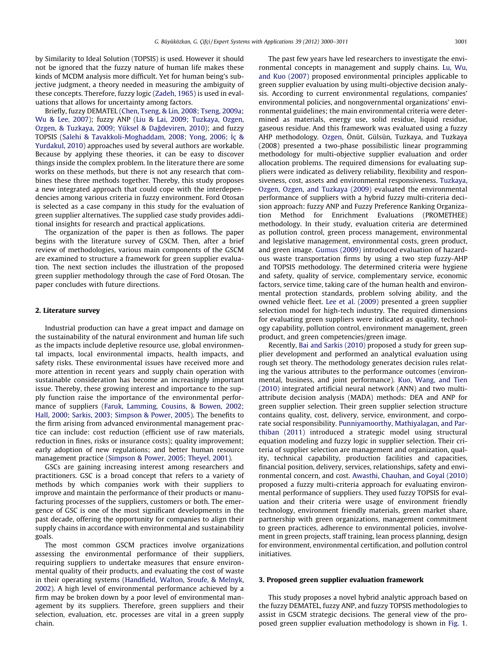by Similarity to Ideal Solution (TOPSIS) is used. However it should not be ignored that the fuzzy nature of human life makes these kinds of MCDM analysis more difficult. Yet for human being's subjective judgment, a theory needed in measuring the ambiguity of these concepts. Therefore, fuzzy logic [\(Zadeh, 1965\)](#page--1-0) is used in evaluations that allows for uncertainty among factors.

Briefly, fuzzy DEMATEL ([Chen, Tseng, & Lin, 2008; Tseng, 2009a;](#page--1-0) [Wu & Lee, 2007\)](#page--1-0); fuzzy ANP ([Liu & Lai, 2009; Tuzkaya, Ozgen,](#page--1-0) Ozgen, & Tuzkaya, 2009; Yüksel & Dağdeviren, 2010); and fuzzy TOPSIS [\(Salehi & Tavakkoli-Moghaddam, 2008; Yong, 2006;](#page--1-0) İç & [Yurdakul, 2010\)](#page--1-0) approaches used by several authors are workable. Because by applying these theories, it can be easy to discover things inside the complex problem. In the literature there are some works on these methods, but there is not any research that combines these three methods together. Thereby, this study proposes a new integrated approach that could cope with the interdependencies among various criteria in fuzzy environment. Ford Otosan is selected as a case company in this study for the evaluation of green supplier alternatives. The supplied case study provides additional insights for research and practical applications.

The organization of the paper is then as follows. The paper begins with the literature survey of GSCM. Then, after a brief review of methodologies, various main components of the GSCM are examined to structure a framework for green supplier evaluation. The next section includes the illustration of the proposed green supplier methodology through the case of Ford Otosan. The paper concludes with future directions.

#### 2. Literature survey

Industrial production can have a great impact and damage on the sustainability of the natural environment and human life such as the impacts include depletive resource use, global environmental impacts, local environmental impacts, health impacts, and safety risks. These environmental issues have received more and more attention in recent years and supply chain operation with sustainable consideration has become an increasingly important issue. Thereby, these growing interest and importance to the supply function raise the importance of the environmental performance of suppliers [\(Faruk, Lamming, Cousins, & Bowen, 2002;](#page--1-0) [Hall, 2000; Sarkis, 2003; Simpson & Power, 2005](#page--1-0)). The benefits to the firm arising from advanced environmental management practice can include: cost reduction (efficient use of raw materials, reduction in fines, risks or insurance costs); quality improvement; early adoption of new regulations; and better human resource management practice [\(Simpson & Power, 2005; Theyel, 2001\)](#page--1-0).

GSCs are gaining increasing interest among researchers and practitioners. GSC is a broad concept that refers to a variety of methods by which companies work with their suppliers to improve and maintain the performance of their products or manufacturing processes of the suppliers, customers or both. The emergence of GSC is one of the most significant developments in the past decade, offering the opportunity for companies to align their supply chains in accordance with environmental and sustainability goals.

The most common GSCM practices involve organizations assessing the environmental performance of their suppliers, requiring suppliers to undertake measures that ensure environmental quality of their products, and evaluating the cost of waste in their operating systems [\(Handfield, Walton, Sroufe, & Melnyk,](#page--1-0) [2002](#page--1-0)). A high level of environmental performance achieved by a firm may be broken down by a poor level of environmental management by its suppliers. Therefore, green suppliers and their selection, evaluation, etc. processes are vital in a green supply chain.

The past few years have led researchers to investigate the environmental concepts in management and supply chains. [Lu, Wu,](#page--1-0) [and Kuo \(2007\)](#page--1-0) proposed environmental principles applicable to green supplier evaluation by using multi-objective decision analysis. According to current environmental regulations, companies' environmental policies, and nongovernmental organizations' environmental guidelines; the main environmental criteria were determined as materials, energy use, solid residue, liquid residue, gaseous residue. And this framework was evaluated using a fuzzy AHP methodology. [Ozgen,](#page--1-0) Önüt, Gülsün, Tuzkaya, and Tuzkaya (2008) presented a two-phase possibilistic linear programming methodology for multi-objective supplier evaluation and order allocation problems. The required dimensions for evaluating suppliers were indicated as delivery reliability, flexibility and responsiveness, cost, assets and environmental responsiveness. [Tuzkaya,](#page--1-0) [Ozgen, Ozgen, and Tuzkaya \(2009\)](#page--1-0) evaluated the environmental performance of suppliers with a hybrid fuzzy multi-criteria decision approach: fuzzy ANP and Fuzzy Preference Ranking Organization Method for Enrichment Evaluations (PROMETHEE) methodology. In their study, evaluation criteria are determined as pollution control, green process management, environmental and legislative management, environmental costs, green product, and green image. [Gumus \(2009\)](#page--1-0) introduced evaluation of hazardous waste transportation firms by using a two step fuzzy-AHP and TOPSIS methodology. The determined criteria were hygiene and safety, quality of service, complementary service, economic factors, service time, taking care of the human health and environmental protection standards, problem solving ability, and the owned vehicle fleet. [Lee et al. \(2009\)](#page--1-0) presented a green supplier selection model for high-tech industry. The required dimensions for evaluating green suppliers were indicated as quality, technology capability, pollution control, environment management, green product, and green competencies/green image.

Recently, [Bai and Sarkis \(2010\)](#page--1-0) proposed a study for green supplier development and performed an analytical evaluation using rough set theory. The methodology generates decision rules relating the various attributes to the performance outcomes (environmental, business, and joint performance). [Kuo, Wang, and Tien](#page--1-0) [\(2010\)](#page--1-0) integrated artificial neural network (ANN) and two multiattribute decision analysis (MADA) methods: DEA and ANP for green supplier selection. Their green supplier selection structure contains quality, cost, delivery, service, environment, and corporate social responsibility. [Punniyamoorthy, Mathiyalagan, and Par](#page--1-0)[thiban \(2011\)](#page--1-0) introduced a strategic model using structural equation modeling and fuzzy logic in supplier selection. Their criteria of supplier selection are management and organization, quality, technical capability, production facilities and capacities, financial position, delivery, services, relationships, safety and environmental concern, and cost. [Awasthi, Chauhan, and Goyal \(2010\)](#page--1-0) proposed a fuzzy multi-criteria approach for evaluating environmental performance of suppliers. They used fuzzy TOPSIS for evaluation and their criteria were usage of environment friendly technology, environment friendly materials, green market share, partnership with green organizations, management commitment to green practices, adherence to environmental policies, involvement in green projects, staff training, lean process planning, design for environment, environmental certification, and pollution control initiatives.

#### 3. Proposed green supplier evaluation framework

This study proposes a novel hybrid analytic approach based on the fuzzy DEMATEL, fuzzy ANP, and fuzzy TOPSIS methodologies to assist in GSCM strategic decisions. The general view of the proposed green supplier evaluation methodology is shown in [Fig. 1.](#page--1-0)